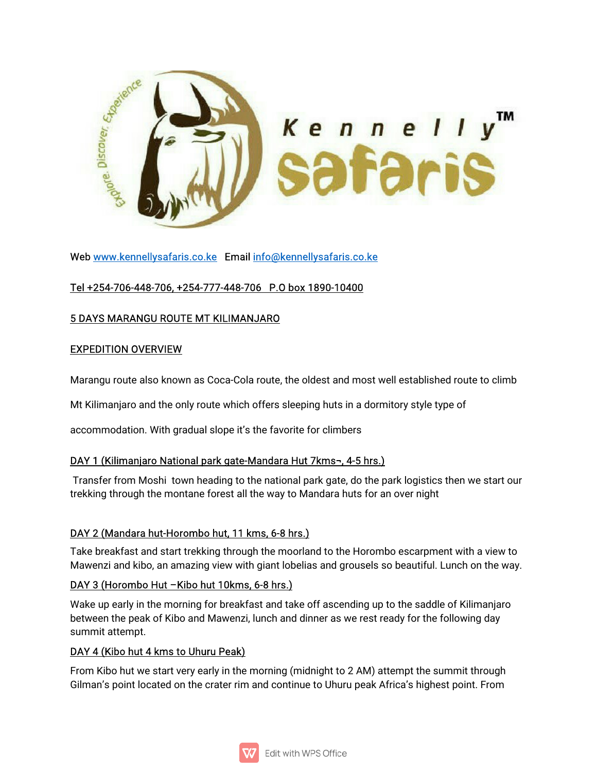

Web www.kennellysafaris.co.ke Email info@kennellysafaris.co.ke

# Tel +254-706-448-706, +254-777-448-706 P.O box 1890-10400

## 5 DAYS MARANGU ROUTE MT KILIMANJARO

#### **EXPEDITION OVERVIEW**

Marangu route also known as Coca-Cola route, the oldest and most well established route to climb

Mt Kilimanjaro and the only route which offers sleeping huts in a dormitory style type of

accommodation. With gradual slope it's the favorite for climbers

### DAY 1 (Kilimanjaro National park gate-Mandara Hut 7kms¬, 4-5 hrs.)

Transfer from Moshitown heading to the national park gate, do the park logistics then we start our trekking through the montane forest all the way to Mandara huts for an over night

# DAY 2 (Mandara hut-Horombo hut, 11 kms, 6-8 hrs.)

Take breakfast and start trekking through the moorland to the Horombo escarpment with a view to Mawenzi and kibo, an amazing view with giant lobelias and grousels so beautiful. Lunch on the way.

### DAY 3 (Horombo Hut – Kibo hut 10kms, 6-8 hrs.)

Wake up early in the morning for breakfast and take off ascending up to the saddle of Kilimanjaro between the peak of Kibo and Mawenzi, lunch and dinner as we rest ready for the following day summit attempt.

### DAY 4 (Kibo hut 4 kms to Uhuru Peak)

From Kibo hut we start very early in the morning (midnight to 2 AM) attempt the summit through Gilman's point located on the crater rim and continue to Uhuru peak Africa's highest point. From

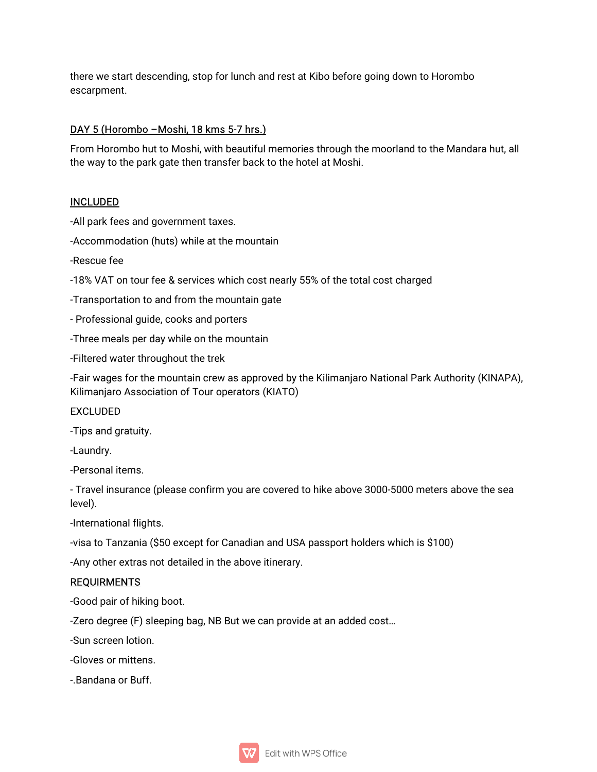there we start descending, stop for lunch and rest at Kibo before going down to Horombo escarpment.

## DAY 5 (Horombo - Moshi, 18 kms 5-7 hrs.)

From Horombo hut to Moshi, with beautiful memories through the moorland to the Mandara hut, all the way to the park gate then transfer back to the hotel at Moshi.

### INCLUDED

-All park fees and government taxes.

-Accommodation (huts) while at the mountain

-Rescuefee

-18% VAT on tour fee & services which cost nearly 55% of the total cost charged

-Transportation to and from the mountain gate

- Professional guide, cooks and porters

-Three meals per day while on the mountain

-Filtered water throughout the trek

-Fair wages for the mountain crew as approved by the Kilimanjaro National Park Authority (KINAPA), Kilimanjaro Association of Tour operators (KIATO)

EXCLUDED

-Tips and gratuity.

-Laundry.

-Personal items.

- Travel insurance (please confirm you are covered to hike above 3000-5000 meters above the sea level).

-International flights.

-visa to Tanzania (\$50 except for Canadian and USA passport holders which is \$100)

-Any other extras not detailed in the above itinerary.

### REQUIRMENTS

-Good pair of hiking boot.

-Zero degree (F) sleeping bag, NB But we can provide at an added cost...

-Sun screen lotion.

-Gloves or mittens.

-.Bandana or Buff.